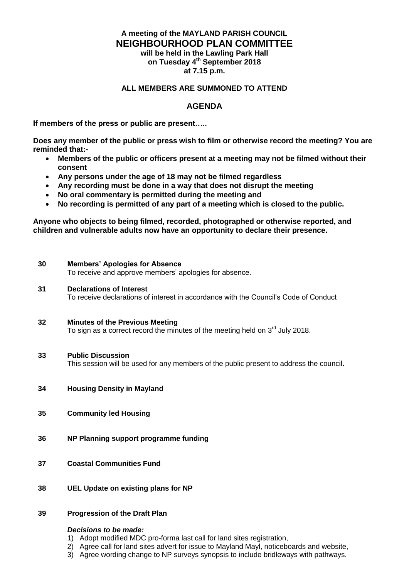# **A meeting of the MAYLAND PARISH COUNCIL NEIGHBOURHOOD PLAN COMMITTEE will be held in the Lawling Park Hall**

**on Tuesday 4 th September 2018 at 7.15 p.m.**

### **ALL MEMBERS ARE SUMMONED TO ATTEND**

## **AGENDA**

**If members of the press or public are present…..**

**Does any member of the public or press wish to film or otherwise record the meeting? You are reminded that:-**

- **Members of the public or officers present at a meeting may not be filmed without their consent**
- **Any persons under the age of 18 may not be filmed regardless**
- **Any recording must be done in a way that does not disrupt the meeting**
- **No oral commentary is permitted during the meeting and**
- **No recording is permitted of any part of a meeting which is closed to the public.**

**Anyone who objects to being filmed, recorded, photographed or otherwise reported, and children and vulnerable adults now have an opportunity to declare their presence.**

#### **30 Members' Apologies for Absence**

To receive and approve members' apologies for absence.

#### **31 Declarations of Interest**

To receive declarations of interest in accordance with the Council's Code of Conduct

### **32 Minutes of the Previous Meeting**

To sign as a correct record the minutes of the meeting held on  $3<sup>rd</sup>$  July 2018.

### **33 Public Discussion**

This session will be used for any members of the public present to address the council**.**

- **34 Housing Density in Mayland**
- **35 Community led Housing**
- **36 NP Planning support programme funding**
- **37 Coastal Communities Fund**
- **38 UEL Update on existing plans for NP**

### **39 Progression of the Draft Plan**

#### *Decisions to be made:*

- 1) Adopt modified MDC pro-forma last call for land sites registration,
- 2) Agree call for land sites advert for issue to Mayland Mayl, noticeboards and website,
- 3) Agree wording change to NP surveys synopsis to include bridleways with pathways.